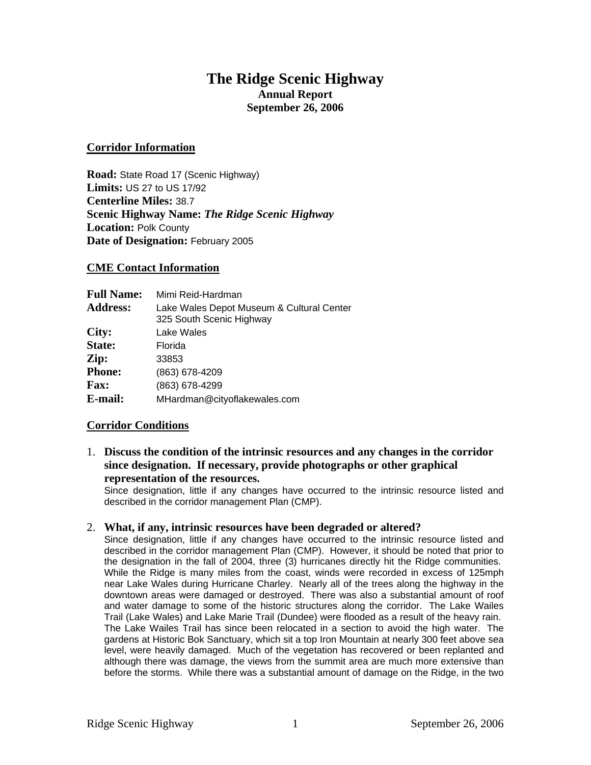## **The Ridge Scenic Highway Annual Report September 26, 2006**

## **Corridor Information**

**Road:** State Road 17 (Scenic Highway) **Limits:** US 27 to US 17/92 **Centerline Miles:** 38.7 **Scenic Highway Name:** *The Ridge Scenic Highway* **Location:** Polk County **Date of Designation:** February 2005

## **CME Contact Information**

| <b>Full Name:</b> | Mimi Reid-Hardman                                                     |
|-------------------|-----------------------------------------------------------------------|
| <b>Address:</b>   | Lake Wales Depot Museum & Cultural Center<br>325 South Scenic Highway |
| City:             | Lake Wales                                                            |
| State:            | Florida                                                               |
| Zip:              | 33853                                                                 |
| <b>Phone:</b>     | (863) 678-4209                                                        |
| <b>Fax:</b>       | (863) 678-4299                                                        |
| E-mail:           | MHardman@cityoflakewales.com                                          |

## **Corridor Conditions**

1. **Discuss the condition of the intrinsic resources and any changes in the corridor since designation. If necessary, provide photographs or other graphical representation of the resources.** 

Since designation, little if any changes have occurred to the intrinsic resource listed and described in the corridor management Plan (CMP).

## 2. **What, if any, intrinsic resources have been degraded or altered?**

Since designation, little if any changes have occurred to the intrinsic resource listed and described in the corridor management Plan (CMP). However, it should be noted that prior to the designation in the fall of 2004, three (3) hurricanes directly hit the Ridge communities. While the Ridge is many miles from the coast, winds were recorded in excess of 125mph near Lake Wales during Hurricane Charley. Nearly all of the trees along the highway in the downtown areas were damaged or destroyed. There was also a substantial amount of roof and water damage to some of the historic structures along the corridor. The Lake Wailes Trail (Lake Wales) and Lake Marie Trail (Dundee) were flooded as a result of the heavy rain. The Lake Wailes Trail has since been relocated in a section to avoid the high water. The gardens at Historic Bok Sanctuary, which sit a top Iron Mountain at nearly 300 feet above sea level, were heavily damaged. Much of the vegetation has recovered or been replanted and although there was damage, the views from the summit area are much more extensive than before the storms. While there was a substantial amount of damage on the Ridge, in the two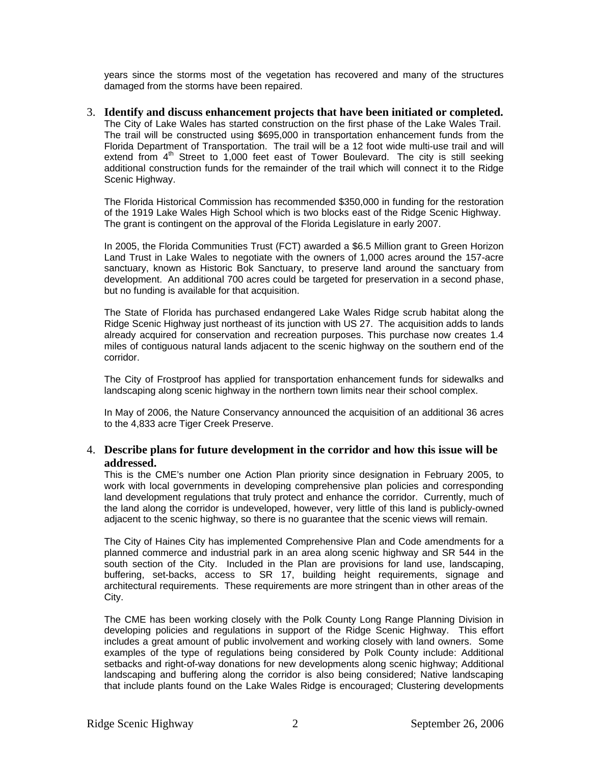years since the storms most of the vegetation has recovered and many of the structures damaged from the storms have been repaired.

3. **Identify and discuss enhancement projects that have been initiated or completed.**  The City of Lake Wales has started construction on the first phase of the Lake Wales Trail. The trail will be constructed using \$695,000 in transportation enhancement funds from the Florida Department of Transportation. The trail will be a 12 foot wide multi-use trail and will extend from  $4<sup>th</sup>$  Street to 1,000 feet east of Tower Boulevard. The city is still seeking additional construction funds for the remainder of the trail which will connect it to the Ridge Scenic Highway.

The Florida Historical Commission has recommended \$350,000 in funding for the restoration of the 1919 Lake Wales High School which is two blocks east of the Ridge Scenic Highway. The grant is contingent on the approval of the Florida Legislature in early 2007.

In 2005, the Florida Communities Trust (FCT) awarded a \$6.5 Million grant to Green Horizon Land Trust in Lake Wales to negotiate with the owners of 1,000 acres around the 157-acre sanctuary, known as Historic Bok Sanctuary, to preserve land around the sanctuary from development. An additional 700 acres could be targeted for preservation in a second phase, but no funding is available for that acquisition.

The State of Florida has purchased endangered Lake Wales Ridge scrub habitat along the Ridge Scenic Highway just northeast of its junction with US 27. The acquisition adds to lands already acquired for conservation and recreation purposes. This purchase now creates 1.4 miles of contiguous natural lands adjacent to the scenic highway on the southern end of the corridor.

The City of Frostproof has applied for transportation enhancement funds for sidewalks and landscaping along scenic highway in the northern town limits near their school complex.

In May of 2006, the Nature Conservancy announced the acquisition of an additional 36 acres to the 4,833 acre Tiger Creek Preserve.

## 4. **Describe plans for future development in the corridor and how this issue will be addressed.**

This is the CME's number one Action Plan priority since designation in February 2005, to work with local governments in developing comprehensive plan policies and corresponding land development regulations that truly protect and enhance the corridor. Currently, much of the land along the corridor is undeveloped, however, very little of this land is publicly-owned adjacent to the scenic highway, so there is no guarantee that the scenic views will remain.

The City of Haines City has implemented Comprehensive Plan and Code amendments for a planned commerce and industrial park in an area along scenic highway and SR 544 in the south section of the City. Included in the Plan are provisions for land use, landscaping, buffering, set-backs, access to SR 17, building height requirements, signage and architectural requirements. These requirements are more stringent than in other areas of the City.

The CME has been working closely with the Polk County Long Range Planning Division in developing policies and regulations in support of the Ridge Scenic Highway. This effort includes a great amount of public involvement and working closely with land owners. Some examples of the type of regulations being considered by Polk County include: Additional setbacks and right-of-way donations for new developments along scenic highway; Additional landscaping and buffering along the corridor is also being considered; Native landscaping that include plants found on the Lake Wales Ridge is encouraged; Clustering developments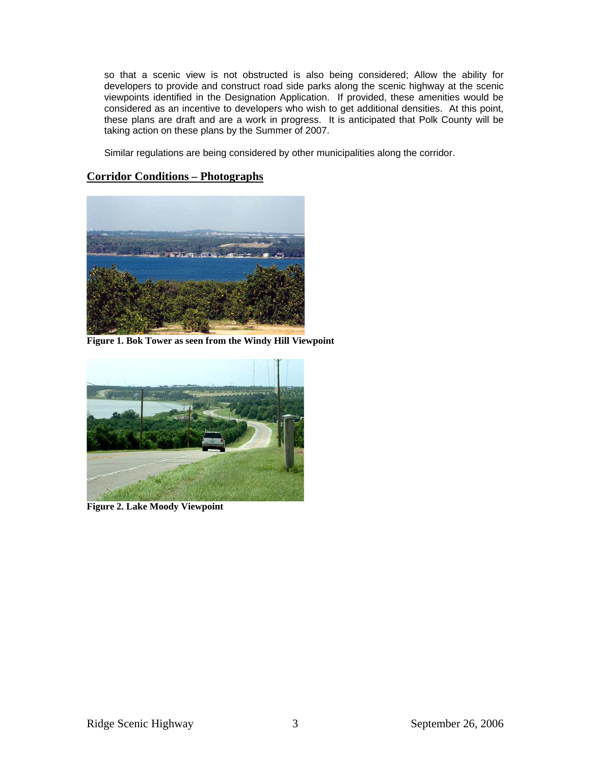so that a scenic view is not obstructed is also being considered; Allow the ability for developers to provide and construct road side parks along the scenic highway at the scenic viewpoints identified in the Designation Application. If provided, these amenities would be considered as an incentive to developers who wish to get additional densities. At this point, these plans are draft and are a work in progress. It is anticipated that Polk County will be taking action on these plans by the Summer of 2007.

Similar regulations are being considered by other municipalities along the corridor.

## **Corridor Conditions – Photographs**



**Figure 1. Bok Tower as seen from the Windy Hill Viewpoint** 



**Figure 2. Lake Moody Viewpoint**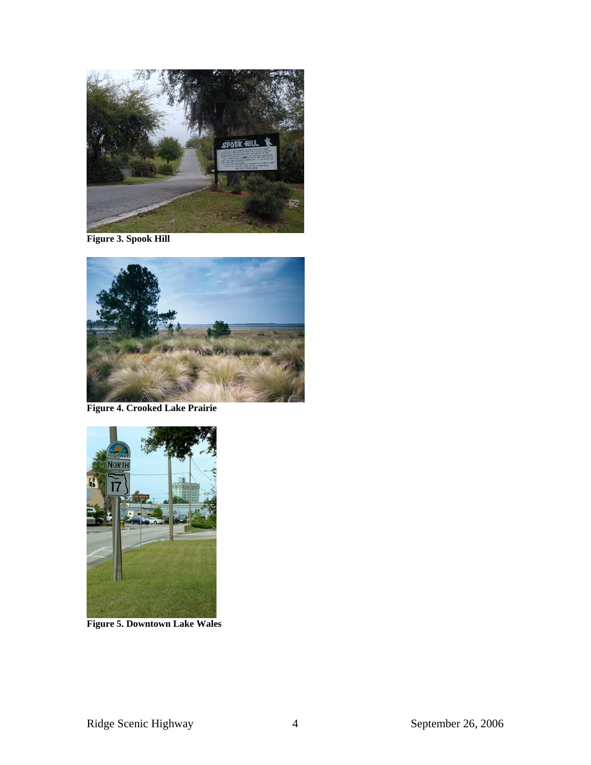

**Figure 3. Spook Hill** 



**Figure 4. Crooked Lake Prairie** 



**Figure 5. Downtown Lake Wales**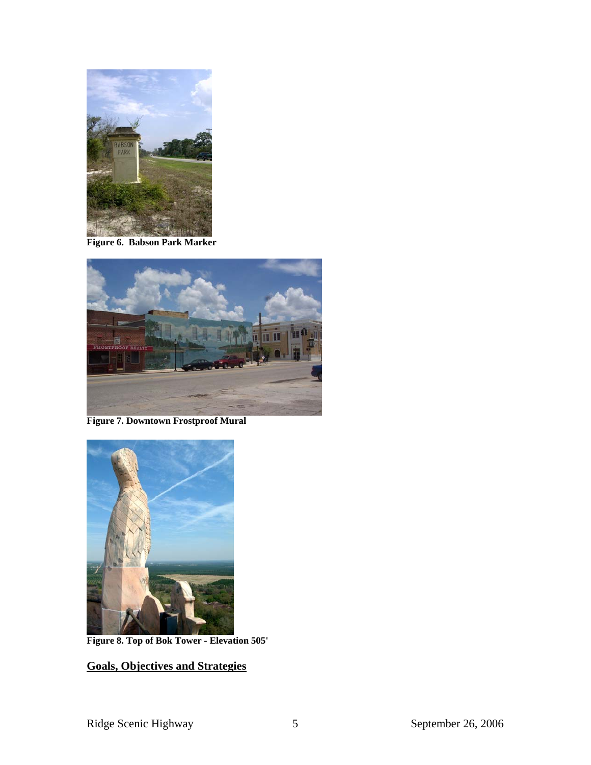

**Figure 6. Babson Park Marker** 



**Figure 7. Downtown Frostproof Mural** 



**Figure 8. Top of Bok Tower - Elevation 505'** 

# **Goals, Objectives and Strategies**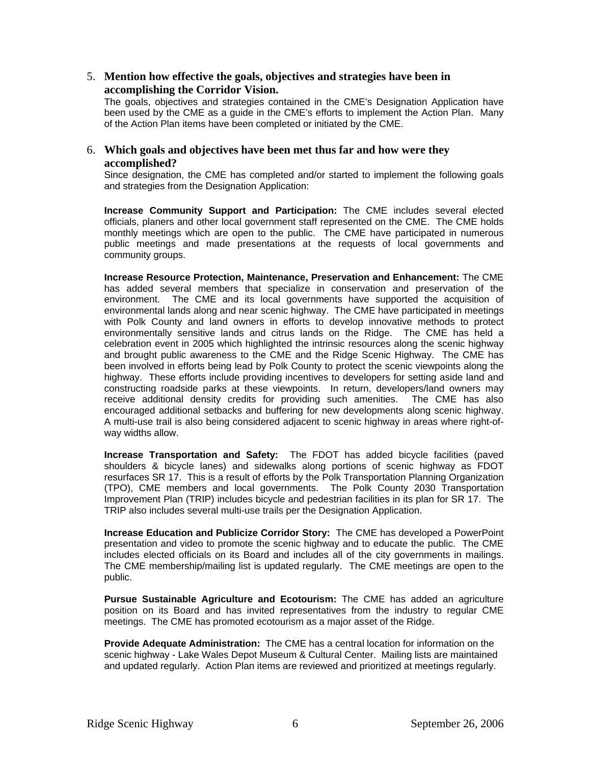## 5. **Mention how effective the goals, objectives and strategies have been in accomplishing the Corridor Vision.**

The goals, objectives and strategies contained in the CME's Designation Application have been used by the CME as a guide in the CME's efforts to implement the Action Plan. Many of the Action Plan items have been completed or initiated by the CME.

## 6. **Which goals and objectives have been met thus far and how were they accomplished?**

Since designation, the CME has completed and/or started to implement the following goals and strategies from the Designation Application:

**Increase Community Support and Participation:** The CME includes several elected officials, planers and other local government staff represented on the CME. The CME holds monthly meetings which are open to the public. The CME have participated in numerous public meetings and made presentations at the requests of local governments and community groups.

**Increase Resource Protection, Maintenance, Preservation and Enhancement:** The CME has added several members that specialize in conservation and preservation of the environment. The CME and its local governments have supported the acquisition of environmental lands along and near scenic highway. The CME have participated in meetings with Polk County and land owners in efforts to develop innovative methods to protect environmentally sensitive lands and citrus lands on the Ridge. The CME has held a celebration event in 2005 which highlighted the intrinsic resources along the scenic highway and brought public awareness to the CME and the Ridge Scenic Highway. The CME has been involved in efforts being lead by Polk County to protect the scenic viewpoints along the highway. These efforts include providing incentives to developers for setting aside land and constructing roadside parks at these viewpoints. In return, developers/land owners may receive additional density credits for providing such amenities. The CME has also encouraged additional setbacks and buffering for new developments along scenic highway. A multi-use trail is also being considered adjacent to scenic highway in areas where right-ofway widths allow.

**Increase Transportation and Safety:** The FDOT has added bicycle facilities (paved shoulders & bicycle lanes) and sidewalks along portions of scenic highway as FDOT resurfaces SR 17. This is a result of efforts by the Polk Transportation Planning Organization (TPO), CME members and local governments. The Polk County 2030 Transportation Improvement Plan (TRIP) includes bicycle and pedestrian facilities in its plan for SR 17. The TRIP also includes several multi-use trails per the Designation Application.

**Increase Education and Publicize Corridor Story:** The CME has developed a PowerPoint presentation and video to promote the scenic highway and to educate the public. The CME includes elected officials on its Board and includes all of the city governments in mailings. The CME membership/mailing list is updated regularly. The CME meetings are open to the public.

**Pursue Sustainable Agriculture and Ecotourism:** The CME has added an agriculture position on its Board and has invited representatives from the industry to regular CME meetings. The CME has promoted ecotourism as a major asset of the Ridge.

**Provide Adequate Administration:** The CME has a central location for information on the scenic highway - Lake Wales Depot Museum & Cultural Center. Mailing lists are maintained and updated regularly. Action Plan items are reviewed and prioritized at meetings regularly.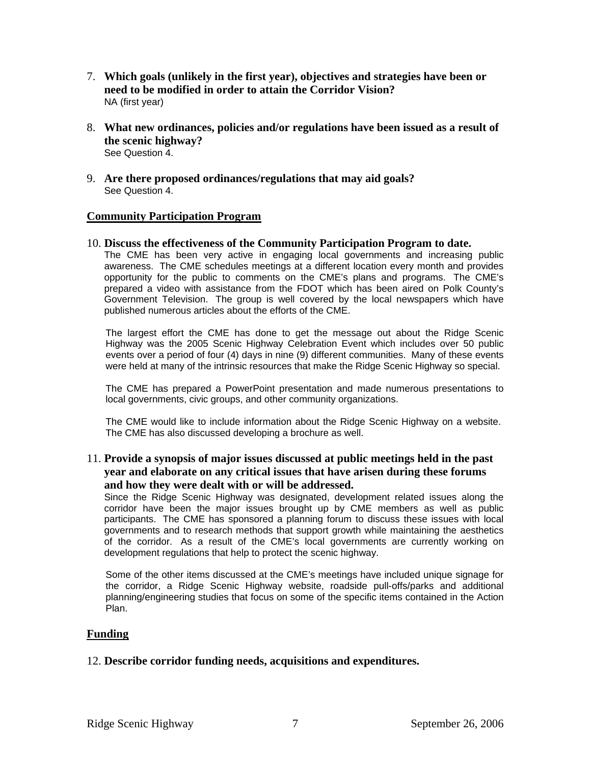- 7. **Which goals (unlikely in the first year), objectives and strategies have been or need to be modified in order to attain the Corridor Vision?**  NA (first year)
- 8. **What new ordinances, policies and/or regulations have been issued as a result of the scenic highway?**  See Question 4.
- 9. **Are there proposed ordinances/regulations that may aid goals?**  See Question 4.

## **Community Participation Program**

## 10. **Discuss the effectiveness of the Community Participation Program to date.**

The CME has been very active in engaging local governments and increasing public awareness. The CME schedules meetings at a different location every month and provides opportunity for the public to comments on the CME's plans and programs. The CME's prepared a video with assistance from the FDOT which has been aired on Polk County's Government Television. The group is well covered by the local newspapers which have published numerous articles about the efforts of the CME.

The largest effort the CME has done to get the message out about the Ridge Scenic Highway was the 2005 Scenic Highway Celebration Event which includes over 50 public events over a period of four (4) days in nine (9) different communities. Many of these events were held at many of the intrinsic resources that make the Ridge Scenic Highway so special.

The CME has prepared a PowerPoint presentation and made numerous presentations to local governments, civic groups, and other community organizations.

The CME would like to include information about the Ridge Scenic Highway on a website. The CME has also discussed developing a brochure as well.

## 11. **Provide a synopsis of major issues discussed at public meetings held in the past year and elaborate on any critical issues that have arisen during these forums and how they were dealt with or will be addressed.**

Since the Ridge Scenic Highway was designated, development related issues along the corridor have been the major issues brought up by CME members as well as public participants. The CME has sponsored a planning forum to discuss these issues with local governments and to research methods that support growth while maintaining the aesthetics of the corridor. As a result of the CME's local governments are currently working on development regulations that help to protect the scenic highway.

Some of the other items discussed at the CME's meetings have included unique signage for the corridor, a Ridge Scenic Highway website, roadside pull-offs/parks and additional planning/engineering studies that focus on some of the specific items contained in the Action Plan.

## **Funding**

## 12. **Describe corridor funding needs, acquisitions and expenditures.**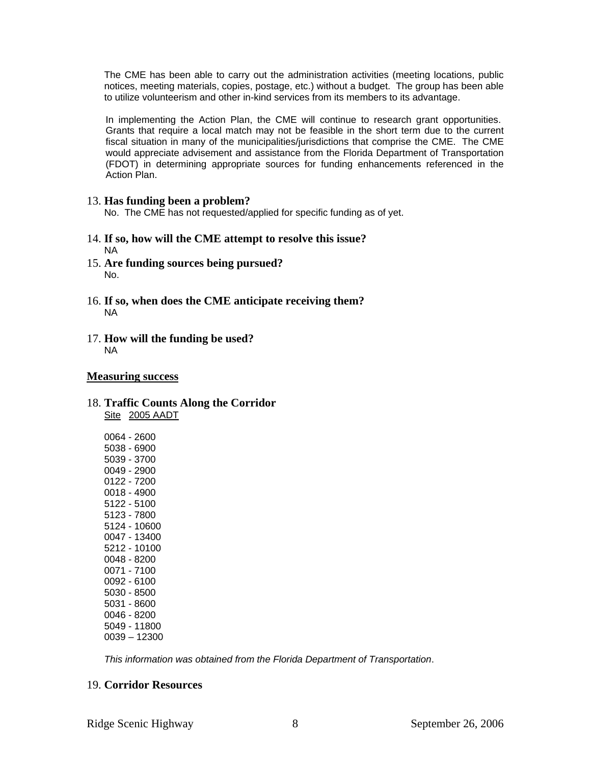The CME has been able to carry out the administration activities (meeting locations, public notices, meeting materials, copies, postage, etc.) without a budget. The group has been able to utilize volunteerism and other in-kind services from its members to its advantage.

In implementing the Action Plan, the CME will continue to research grant opportunities. Grants that require a local match may not be feasible in the short term due to the current fiscal situation in many of the municipalities/jurisdictions that comprise the CME. The CME would appreciate advisement and assistance from the Florida Department of Transportation (FDOT) in determining appropriate sources for funding enhancements referenced in the Action Plan.

## 13. **Has funding been a problem?**

No. The CME has not requested/applied for specific funding as of yet.

- 14. **If so, how will the CME attempt to resolve this issue?**  NA
- 15. **Are funding sources being pursued?**  No.
- 16. **If so, when does the CME anticipate receiving them?**  NA
- 17. **How will the funding be used?**  NA

## **Measuring success**

## 18. **Traffic Counts Along the Corridor**  Site 2005 AADT

*This information was obtained from the Florida Department of Transportation*.

## 19. **Corridor Resources**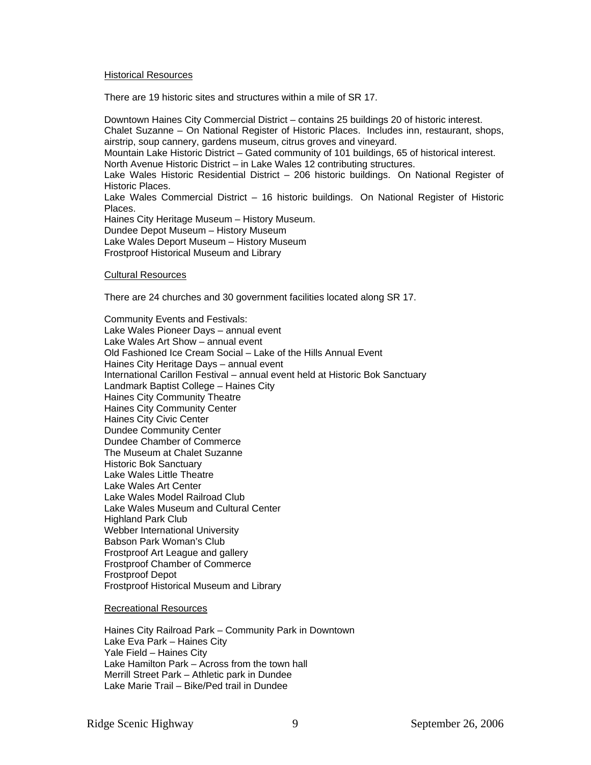#### **Historical Resources**

There are 19 historic sites and structures within a mile of SR 17.

Downtown Haines City Commercial District – contains 25 buildings 20 of historic interest. Chalet Suzanne – On National Register of Historic Places. Includes inn, restaurant, shops, airstrip, soup cannery, gardens museum, citrus groves and vineyard. Mountain Lake Historic District – Gated community of 101 buildings, 65 of historical interest. North Avenue Historic District – in Lake Wales 12 contributing structures. Lake Wales Historic Residential District – 206 historic buildings. On National Register of Historic Places. Lake Wales Commercial District – 16 historic buildings. On National Register of Historic **Places** Haines City Heritage Museum – History Museum. Dundee Depot Museum – History Museum Lake Wales Deport Museum – History Museum Frostproof Historical Museum and Library

Cultural Resources

There are 24 churches and 30 government facilities located along SR 17.

Community Events and Festivals: Lake Wales Pioneer Days – annual event Lake Wales Art Show – annual event Old Fashioned Ice Cream Social – Lake of the Hills Annual Event Haines City Heritage Days – annual event International Carillon Festival – annual event held at Historic Bok Sanctuary Landmark Baptist College – Haines City Haines City Community Theatre Haines City Community Center Haines City Civic Center Dundee Community Center Dundee Chamber of Commerce The Museum at Chalet Suzanne Historic Bok Sanctuary Lake Wales Little Theatre Lake Wales Art Center Lake Wales Model Railroad Club Lake Wales Museum and Cultural Center Highland Park Club Webber International University Babson Park Woman's Club Frostproof Art League and gallery Frostproof Chamber of Commerce Frostproof Depot Frostproof Historical Museum and Library

Recreational Resources

Haines City Railroad Park – Community Park in Downtown Lake Eva Park – Haines City Yale Field – Haines City Lake Hamilton Park – Across from the town hall Merrill Street Park – Athletic park in Dundee Lake Marie Trail – Bike/Ped trail in Dundee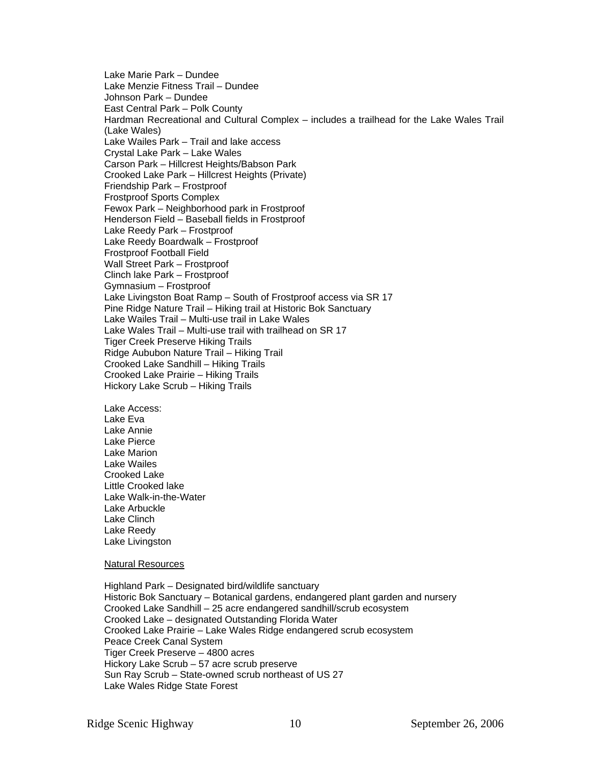Lake Marie Park – Dundee Lake Menzie Fitness Trail – Dundee Johnson Park – Dundee East Central Park – Polk County Hardman Recreational and Cultural Complex – includes a trailhead for the Lake Wales Trail (Lake Wales) Lake Wailes Park – Trail and lake access Crystal Lake Park – Lake Wales Carson Park – Hillcrest Heights/Babson Park Crooked Lake Park – Hillcrest Heights (Private) Friendship Park – Frostproof Frostproof Sports Complex Fewox Park – Neighborhood park in Frostproof Henderson Field – Baseball fields in Frostproof Lake Reedy Park – Frostproof Lake Reedy Boardwalk – Frostproof Frostproof Football Field Wall Street Park – Frostproof Clinch lake Park – Frostproof Gymnasium – Frostproof Lake Livingston Boat Ramp – South of Frostproof access via SR 17 Pine Ridge Nature Trail – Hiking trail at Historic Bok Sanctuary Lake Wailes Trail – Multi-use trail in Lake Wales Lake Wales Trail – Multi-use trail with trailhead on SR 17 Tiger Creek Preserve Hiking Trails Ridge Aububon Nature Trail – Hiking Trail Crooked Lake Sandhill – Hiking Trails Crooked Lake Prairie – Hiking Trails Hickory Lake Scrub – Hiking Trails

Lake Access: Lake Eva Lake Annie Lake Pierce Lake Marion Lake Wailes Crooked Lake Little Crooked lake Lake Walk-in-the-Water Lake Arbuckle Lake Clinch Lake Reedy Lake Livingston

#### Natural Resources

Highland Park – Designated bird/wildlife sanctuary Historic Bok Sanctuary – Botanical gardens, endangered plant garden and nursery Crooked Lake Sandhill – 25 acre endangered sandhill/scrub ecosystem Crooked Lake – designated Outstanding Florida Water Crooked Lake Prairie – Lake Wales Ridge endangered scrub ecosystem Peace Creek Canal System Tiger Creek Preserve – 4800 acres Hickory Lake Scrub – 57 acre scrub preserve Sun Ray Scrub – State-owned scrub northeast of US 27 Lake Wales Ridge State Forest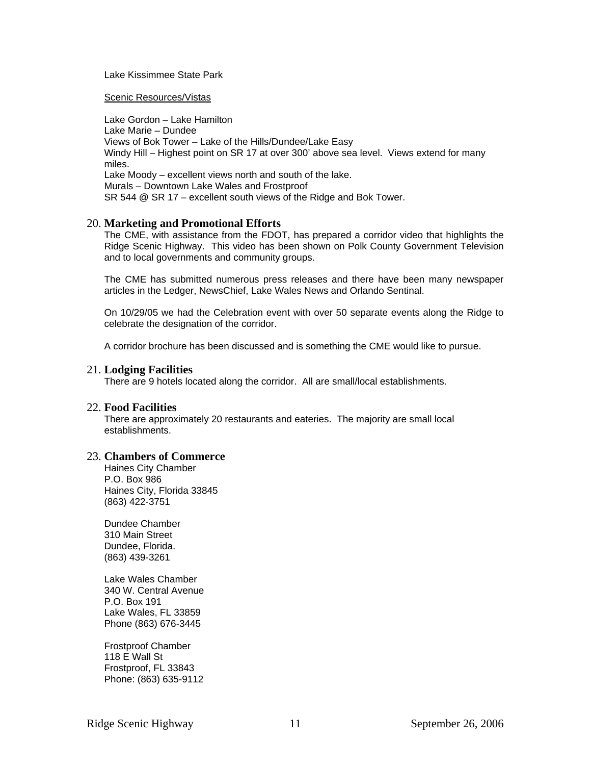#### Lake Kissimmee State Park

#### Scenic Resources/Vistas

Lake Gordon – Lake Hamilton Lake Marie – Dundee Views of Bok Tower – Lake of the Hills/Dundee/Lake Easy Windy Hill – Highest point on SR 17 at over 300' above sea level. Views extend for many miles. Lake Moody – excellent views north and south of the lake. Murals – Downtown Lake Wales and Frostproof SR 544 @ SR 17 – excellent south views of the Ridge and Bok Tower.

## 20. **Marketing and Promotional Efforts**

The CME, with assistance from the FDOT, has prepared a corridor video that highlights the Ridge Scenic Highway. This video has been shown on Polk County Government Television and to local governments and community groups.

The CME has submitted numerous press releases and there have been many newspaper articles in the Ledger, NewsChief, Lake Wales News and Orlando Sentinal.

On 10/29/05 we had the Celebration event with over 50 separate events along the Ridge to celebrate the designation of the corridor.

A corridor brochure has been discussed and is something the CME would like to pursue.

#### 21. **Lodging Facilities**

There are 9 hotels located along the corridor. All are small/local establishments.

#### 22. **Food Facilities**

There are approximately 20 restaurants and eateries. The majority are small local establishments.

#### 23. **Chambers of Commerce**

Haines City Chamber P.O. Box 986 Haines City, Florida 33845 (863) 422-3751

Dundee Chamber 310 Main Street Dundee, Florida. (863) 439-3261

Lake Wales Chamber 340 W. Central Avenue P.O. Box 191 Lake Wales, FL 33859 Phone (863) 676-3445

Frostproof Chamber 118 E Wall St Frostproof, FL 33843 Phone: (863) 635-9112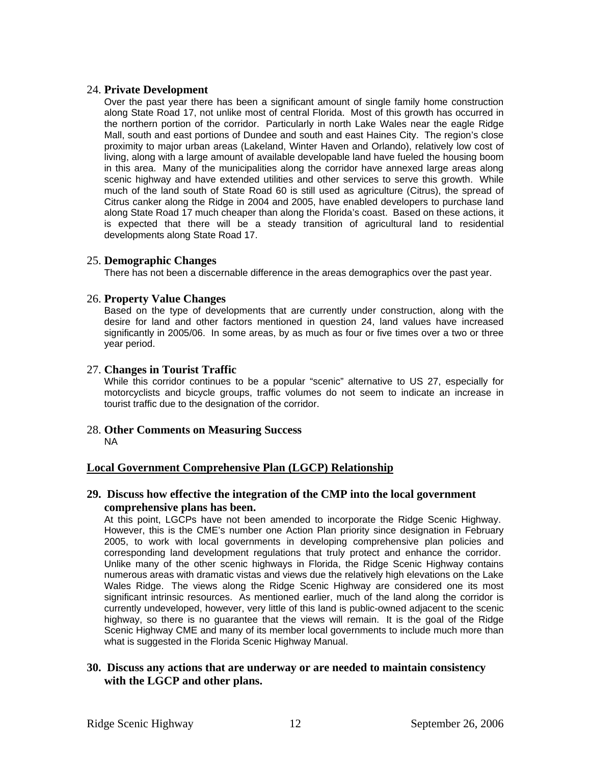## 24. **Private Development**

Over the past year there has been a significant amount of single family home construction along State Road 17, not unlike most of central Florida. Most of this growth has occurred in the northern portion of the corridor. Particularly in north Lake Wales near the eagle Ridge Mall, south and east portions of Dundee and south and east Haines City. The region's close proximity to major urban areas (Lakeland, Winter Haven and Orlando), relatively low cost of living, along with a large amount of available developable land have fueled the housing boom in this area. Many of the municipalities along the corridor have annexed large areas along scenic highway and have extended utilities and other services to serve this growth. While much of the land south of State Road 60 is still used as agriculture (Citrus), the spread of Citrus canker along the Ridge in 2004 and 2005, have enabled developers to purchase land along State Road 17 much cheaper than along the Florida's coast. Based on these actions, it is expected that there will be a steady transition of agricultural land to residential developments along State Road 17.

## 25. **Demographic Changes**

There has not been a discernable difference in the areas demographics over the past year.

## 26. **Property Value Changes**

Based on the type of developments that are currently under construction, along with the desire for land and other factors mentioned in question 24, land values have increased significantly in 2005/06. In some areas, by as much as four or five times over a two or three year period.

## 27. **Changes in Tourist Traffic**

While this corridor continues to be a popular "scenic" alternative to US 27, especially for motorcyclists and bicycle groups, traffic volumes do not seem to indicate an increase in tourist traffic due to the designation of the corridor.

#### 28. **Other Comments on Measuring Success**  NA

## **Local Government Comprehensive Plan (LGCP) Relationship**

## **29. Discuss how effective the integration of the CMP into the local government comprehensive plans has been.**

At this point, LGCPs have not been amended to incorporate the Ridge Scenic Highway. However, this is the CME's number one Action Plan priority since designation in February 2005, to work with local governments in developing comprehensive plan policies and corresponding land development regulations that truly protect and enhance the corridor. Unlike many of the other scenic highways in Florida, the Ridge Scenic Highway contains numerous areas with dramatic vistas and views due the relatively high elevations on the Lake Wales Ridge. The views along the Ridge Scenic Highway are considered one its most significant intrinsic resources. As mentioned earlier, much of the land along the corridor is currently undeveloped, however, very little of this land is public-owned adjacent to the scenic highway, so there is no guarantee that the views will remain. It is the goal of the Ridge Scenic Highway CME and many of its member local governments to include much more than what is suggested in the Florida Scenic Highway Manual.

## **30. Discuss any actions that are underway or are needed to maintain consistency with the LGCP and other plans.**